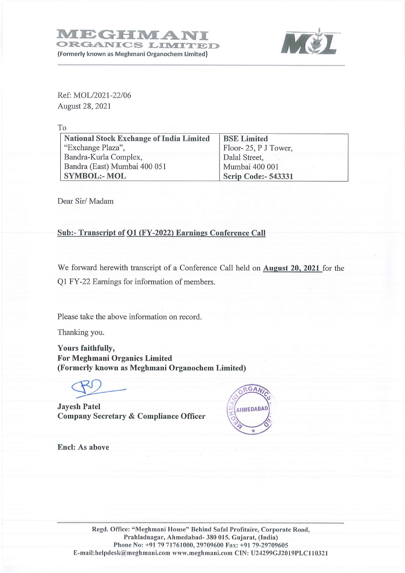

Ref: MOL/2021-22/06 August 28, 2021

To

| <b>National Stock Exchange of India Limited</b> | <b>BSE Limited</b>         |
|-------------------------------------------------|----------------------------|
| "Exchange Plaza",                               | Floor-25, P J Tower,       |
| Bandra-Kurla Complex,                           | Dalal Street,              |
| Bandra (East) Mumbai 400 051                    | Mumbai 400 001             |
| <b>SYMBOL:- MOL</b>                             | <b>Scrip Code:- 543331</b> |

Dear Sir/ Madam

## Sub:- Transcript of Ol (FY-2022) Earnings Conference Call

We forward herewith transcript of a Conference Call held on **August 20, 2021** for the Q1 FY-22 Earnings for information of members.

Please take the above information on record.

Thanking you.

Yours faithfully, For Meghmani Organics Limited (Formerly known as Meghmani Organochem Limited) rs faithfully,<br>Meghmani Organics Limited<br>merly known as Meghmani Organochem Limited) We forward herewith transcript of a Confe<br>Q1 FY-22 Earnings for information of mem<br>Please take the above information on record<br>Thanking you.<br>Yours faithfully,<br>For Meghmani Organics Limited<br>(Formerly known as Meghmani Organ

Jayesh Patel Company Secretary & Compliance Officer



Encl: As above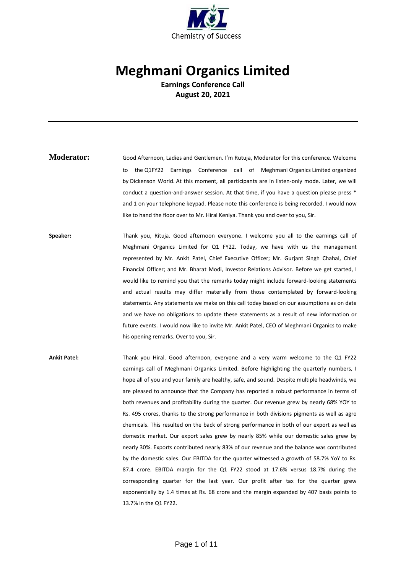

## **Meghmani Organics Limited**

**Earnings Conference Call August 20, 2021**

- **Moderator:** Good Afternoon, Ladies and Gentlemen. I'm Rutuja, Moderator for this conference. Welcome to the Q1FY22 Earnings Conference call of Meghmani Organics Limited organized by Dickenson World. At this moment, all participants are in listen-only mode. Later, we will conduct a question-and-answer session. At that time, if you have a question please press \* and 1 on your telephone keypad. Please note this conference is being recorded. I would now like to hand the floor over to Mr. Hiral Keniya. Thank you and over to you, Sir.
- Speaker: Thank you, Rituja. Good afternoon everyone. I welcome you all to the earnings call of Meghmani Organics Limited for Q1 FY22. Today, we have with us the management represented by Mr. Ankit Patel, Chief Executive Officer; Mr. Gurjant Singh Chahal, Chief Financial Officer; and Mr. Bharat Modi, Investor Relations Advisor. Before we get started, I would like to remind you that the remarks today might include forward-looking statements and actual results may differ materially from those contemplated by forward-looking statements. Any statements we make on this call today based on our assumptions as on date and we have no obligations to update these statements as a result of new information or future events. I would now like to invite Mr. Ankit Patel, CEO of Meghmani Organics to make his opening remarks. Over to you, Sir.
- **Ankit Patel:** Thank you Hiral. Good afternoon, everyone and a very warm welcome to the Q1 FY22 earnings call of Meghmani Organics Limited. Before highlighting the quarterly numbers, I hope all of you and your family are healthy, safe, and sound. Despite multiple headwinds, we are pleased to announce that the Company has reported a robust performance in terms of both revenues and profitability during the quarter. Our revenue grew by nearly 68% YOY to Rs. 495 crores, thanks to the strong performance in both divisions pigments as well as agro chemicals. This resulted on the back of strong performance in both of our export as well as domestic market. Our export sales grew by nearly 85% while our domestic sales grew by nearly 30%. Exports contributed nearly 83% of our revenue and the balance was contributed by the domestic sales. Our EBITDA for the quarter witnessed a growth of 58.7% YoY to Rs. 87.4 crore. EBITDA margin for the Q1 FY22 stood at 17.6% versus 18.7% during the corresponding quarter for the last year. Our profit after tax for the quarter grew exponentially by 1.4 times at Rs. 68 crore and the margin expanded by 407 basis points to 13.7% in the Q1 FY22.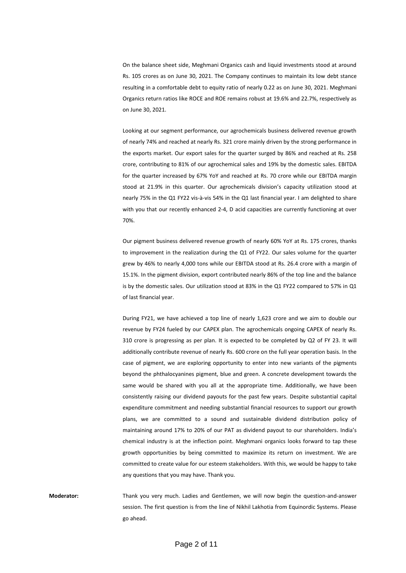On the balance sheet side, Meghmani Organics cash and liquid investments stood at around Rs. 105 crores as on June 30, 2021. The Company continues to maintain its low debt stance resulting in a comfortable debt to equity ratio of nearly 0.22 as on June 30, 2021. Meghmani Organics return ratios like ROCE and ROE remains robust at 19.6% and 22.7%, respectively as on June 30, 2021.

Looking at our segment performance, our agrochemicals business delivered revenue growth of nearly 74% and reached at nearly Rs. 321 crore mainly driven by the strong performance in the exports market. Our export sales for the quarter surged by 86% and reached at Rs. 258 crore, contributing to 81% of our agrochemical sales and 19% by the domestic sales. EBITDA for the quarter increased by 67% YoY and reached at Rs. 70 crore while our EBITDA margin stood at 21.9% in this quarter. Our agrochemicals division's capacity utilization stood at nearly 75% in the Q1 FY22 vis-à-vis 54% in the Q1 last financial year. I am delighted to share with you that our recently enhanced 2-4, D acid capacities are currently functioning at over 70%.

Our pigment business delivered revenue growth of nearly 60% YoY at Rs. 175 crores, thanks to improvement in the realization during the Q1 of FY22. Our sales volume for the quarter grew by 46% to nearly 4,000 tons while our EBITDA stood at Rs. 26.4 crore with a margin of 15.1%. In the pigment division, export contributed nearly 86% of the top line and the balance is by the domestic sales. Our utilization stood at 83% in the Q1 FY22 compared to 57% in Q1 of last financial year.

During FY21, we have achieved a top line of nearly 1,623 crore and we aim to double our revenue by FY24 fueled by our CAPEX plan. The agrochemicals ongoing CAPEX of nearly Rs. 310 crore is progressing as per plan. It is expected to be completed by Q2 of FY 23. It will additionally contribute revenue of nearly Rs. 600 crore on the full year operation basis. In the case of pigment, we are exploring opportunity to enter into new variants of the pigments beyond the phthalocyanines pigment, blue and green. A concrete development towards the same would be shared with you all at the appropriate time. Additionally, we have been consistently raising our dividend payouts for the past few years. Despite substantial capital expenditure commitment and needing substantial financial resources to support our growth plans, we are committed to a sound and sustainable dividend distribution policy of maintaining around 17% to 20% of our PAT as dividend payout to our shareholders. India's chemical industry is at the inflection point. Meghmani organics looks forward to tap these growth opportunities by being committed to maximize its return on investment. We are committed to create value for our esteem stakeholders. With this, we would be happy to take any questions that you may have. Thank you.

**Moderator:** Thank you very much. Ladies and Gentlemen, we will now begin the question-and-answer session. The first question is from the line of Nikhil Lakhotia from Equinordic Systems. Please go ahead.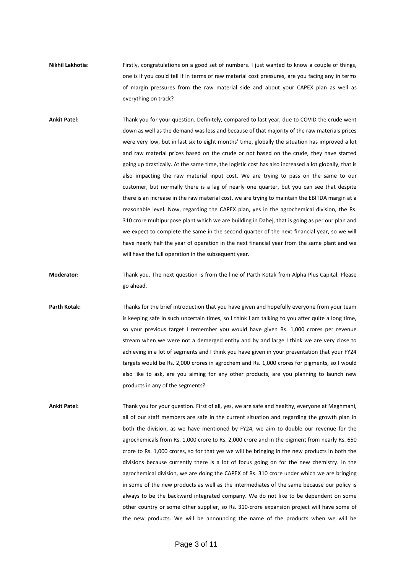**Nikhil Lakhotia:** Firstly, congratulations on a good set of numbers. I just wanted to know a couple of things, one is if you could tell if in terms of raw material cost pressures, are you facing any in terms of margin pressures from the raw material side and about your CAPEX plan as well as everything on track?

**Ankit Patel:** Thank you for your question. Definitely, compared to last year, due to COVID the crude went down as well as the demand was less and because of that majority of the raw materials prices were very low, but in last six to eight months' time, globally the situation has improved a lot and raw material prices based on the crude or not based on the crude, they have started going up drastically. At the same time, the logistic cost has also increased a lot globally, that is also impacting the raw material input cost. We are trying to pass on the same to our customer, but normally there is a lag of nearly one quarter, but you can see that despite there is an increase in the raw material cost, we are trying to maintain the EBITDA margin at a reasonable level. Now, regarding the CAPEX plan, yes in the agrochemical division, the Rs. 310 crore multipurpose plant which we are building in Dahej, that is going as per our plan and we expect to complete the same in the second quarter of the next financial year, so we will have nearly half the year of operation in the next financial year from the same plant and we will have the full operation in the subsequent year.

**Moderator:** Thank you. The next question is from the line of Parth Kotak from Alpha Plus Capital. Please go ahead.

Parth Kotak: Thanks for the brief introduction that you have given and hopefully everyone from your team is keeping safe in such uncertain times, so I think I am talking to you after quite a long time, so your previous target I remember you would have given Rs. 1,000 crores per revenue stream when we were not a demerged entity and by and large I think we are very close to achieving in a lot of segments and I think you have given in your presentation that your FY24 targets would be Rs. 2,000 crores in agrochem and Rs. 1,000 crores for pigments, so I would also like to ask, are you aiming for any other products, are you planning to launch new products in any of the segments?

**Ankit Patel:** Thank you for your question. First of all, yes, we are safe and healthy, everyone at Meghmani, all of our staff members are safe in the current situation and regarding the growth plan in both the division, as we have mentioned by FY24, we aim to double our revenue for the agrochemicals from Rs. 1,000 crore to Rs. 2,000 crore and in the pigment from nearly Rs. 650 crore to Rs. 1,000 crores, so for that yes we will be bringing in the new products in both the divisions because currently there is a lot of focus going on for the new chemistry. In the agrochemical division, we are doing the CAPEX of Rs. 310 crore under which we are bringing in some of the new products as well as the intermediates of the same because our policy is always to be the backward integrated company. We do not like to be dependent on some other country or some other supplier, so Rs. 310-crore expansion project will have some of the new products. We will be announcing the name of the products when we will be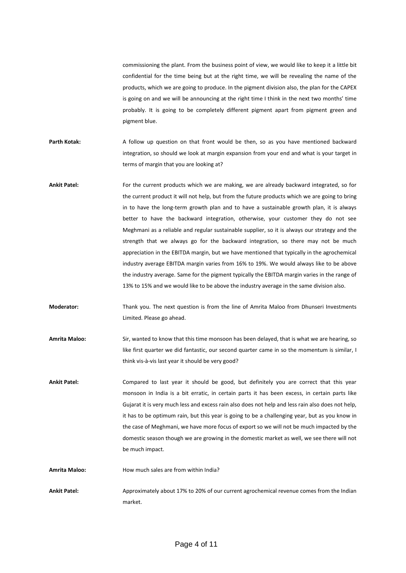commissioning the plant. From the business point of view, we would like to keep it a little bit confidential for the time being but at the right time, we will be revealing the name of the products, which we are going to produce. In the pigment division also, the plan for the CAPEX is going on and we will be announcing at the right time I think in the next two months' time probably. It is going to be completely different pigment apart from pigment green and pigment blue.

- Parth Kotak: A follow up question on that front would be then, so as you have mentioned backward integration, so should we look at margin expansion from your end and what is your target in terms of margin that you are looking at?
- **Ankit Patel:** For the current products which we are making, we are already backward integrated, so for the current product it will not help, but from the future products which we are going to bring in to have the long-term growth plan and to have a sustainable growth plan, it is always better to have the backward integration, otherwise, your customer they do not see Meghmani as a reliable and regular sustainable supplier, so it is always our strategy and the strength that we always go for the backward integration, so there may not be much appreciation in the EBITDA margin, but we have mentioned that typically in the agrochemical industry average EBITDA margin varies from 16% to 19%. We would always like to be above the industry average. Same for the pigment typically the EBITDA margin varies in the range of 13% to 15% and we would like to be above the industry average in the same division also.
- **Moderator:** Thank you. The next question is from the line of Amrita Maloo from Dhunseri Investments Limited. Please go ahead.
- **Amrita Maloo:** Sir, wanted to know that this time monsoon has been delayed, that is what we are hearing, so like first quarter we did fantastic, our second quarter came in so the momentum is similar, I think vis-à-vis last year it should be very good?
- **Ankit Patel:** Compared to last year it should be good, but definitely you are correct that this year monsoon in India is a bit erratic, in certain parts it has been excess, in certain parts like Gujarat it is very much less and excess rain also does not help and less rain also does not help, it has to be optimum rain, but this year is going to be a challenging year, but as you know in the case of Meghmani, we have more focus of export so we will not be much impacted by the domestic season though we are growing in the domestic market as well, we see there will not be much impact.
- **Amrita Maloo:** How much sales are from within India?
- **Ankit Patel:** Approximately about 17% to 20% of our current agrochemical revenue comes from the Indian market.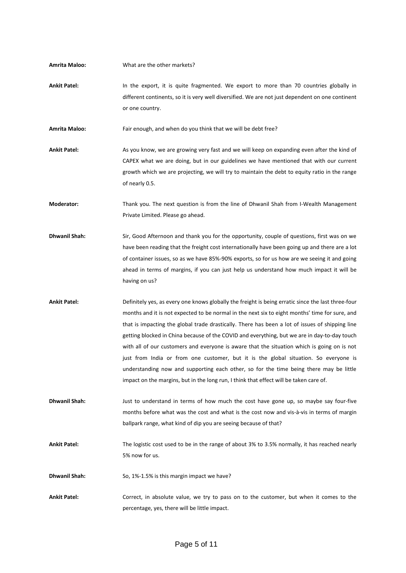| <b>Amrita Maloo:</b> | What are the other markets?                                                                                                                                                                                                                                                                                                                                                                                                                                                                                                                                                                                                                                                                                                                                                        |
|----------------------|------------------------------------------------------------------------------------------------------------------------------------------------------------------------------------------------------------------------------------------------------------------------------------------------------------------------------------------------------------------------------------------------------------------------------------------------------------------------------------------------------------------------------------------------------------------------------------------------------------------------------------------------------------------------------------------------------------------------------------------------------------------------------------|
| <b>Ankit Patel:</b>  | In the export, it is quite fragmented. We export to more than 70 countries globally in<br>different continents, so it is very well diversified. We are not just dependent on one continent<br>or one country.                                                                                                                                                                                                                                                                                                                                                                                                                                                                                                                                                                      |
| <b>Amrita Maloo:</b> | Fair enough, and when do you think that we will be debt free?                                                                                                                                                                                                                                                                                                                                                                                                                                                                                                                                                                                                                                                                                                                      |
| <b>Ankit Patel:</b>  | As you know, we are growing very fast and we will keep on expanding even after the kind of<br>CAPEX what we are doing, but in our guidelines we have mentioned that with our current<br>growth which we are projecting, we will try to maintain the debt to equity ratio in the range<br>of nearly 0.5.                                                                                                                                                                                                                                                                                                                                                                                                                                                                            |
| Moderator:           | Thank you. The next question is from the line of Dhwanil Shah from I-Wealth Management<br>Private Limited. Please go ahead.                                                                                                                                                                                                                                                                                                                                                                                                                                                                                                                                                                                                                                                        |
| <b>Dhwanil Shah:</b> | Sir, Good Afternoon and thank you for the opportunity, couple of questions, first was on we<br>have been reading that the freight cost internationally have been going up and there are a lot<br>of container issues, so as we have 85%-90% exports, so for us how are we seeing it and going<br>ahead in terms of margins, if you can just help us understand how much impact it will be<br>having on us?                                                                                                                                                                                                                                                                                                                                                                         |
| <b>Ankit Patel:</b>  | Definitely yes, as every one knows globally the freight is being erratic since the last three-four<br>months and it is not expected to be normal in the next six to eight months' time for sure, and<br>that is impacting the global trade drastically. There has been a lot of issues of shipping line<br>getting blocked in China because of the COVID and everything, but we are in day-to-day touch<br>with all of our customers and everyone is aware that the situation which is going on is not<br>just from India or from one customer, but it is the global situation. So everyone is<br>understanding now and supporting each other, so for the time being there may be little<br>impact on the margins, but in the long run, I think that effect will be taken care of. |
| <b>Dhwanil Shah:</b> | Just to understand in terms of how much the cost have gone up, so maybe say four-five<br>months before what was the cost and what is the cost now and vis-à-vis in terms of margin<br>ballpark range, what kind of dip you are seeing because of that?                                                                                                                                                                                                                                                                                                                                                                                                                                                                                                                             |
| <b>Ankit Patel:</b>  | The logistic cost used to be in the range of about 3% to 3.5% normally, it has reached nearly<br>5% now for us.                                                                                                                                                                                                                                                                                                                                                                                                                                                                                                                                                                                                                                                                    |
| <b>Dhwanil Shah:</b> | So, 1%-1.5% is this margin impact we have?                                                                                                                                                                                                                                                                                                                                                                                                                                                                                                                                                                                                                                                                                                                                         |
| <b>Ankit Patel:</b>  | Correct, in absolute value, we try to pass on to the customer, but when it comes to the<br>percentage, yes, there will be little impact.                                                                                                                                                                                                                                                                                                                                                                                                                                                                                                                                                                                                                                           |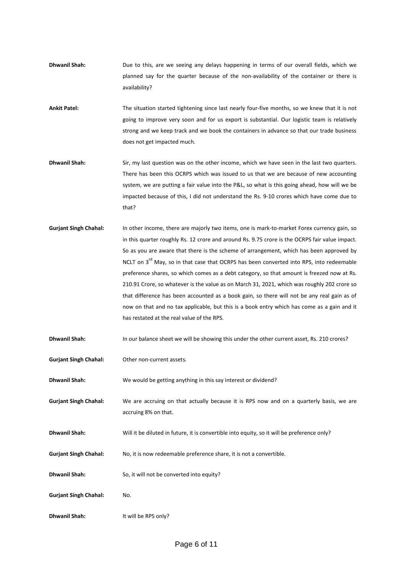- **Dhwanil Shah:** Due to this, are we seeing any delays happening in terms of our overall fields, which we planned say for the quarter because of the non-availability of the container or there is availability?
- **Ankit Patel:** The situation started tightening since last nearly four-five months, so we knew that it is not going to improve very soon and for us export is substantial. Our logistic team is relatively strong and we keep track and we book the containers in advance so that our trade business does not get impacted much.
- **Dhwanil Shah:** Sir, my last question was on the other income, which we have seen in the last two quarters. There has been this OCRPS which was issued to us that we are because of new accounting system, we are putting a fair value into the P&L, so what is this going ahead, how will we be impacted because of this, I did not understand the Rs. 9-10 crores which have come due to that?
- **Gurjant Singh Chahal:** In other income, there are majorly two items, one is mark-to-market Forex currency gain, so in this quarter roughly Rs. 12 crore and around Rs. 9.75 crore is the OCRPS fair value impact. So as you are aware that there is the scheme of arrangement, which has been approved by NCLT on 3<sup>rd</sup> May, so in that case that OCRPS has been converted into RPS, into redeemable preference shares, so which comes as a debt category, so that amount is freezed now at Rs. 210.91 Crore, so whatever is the value as on March 31, 2021, which was roughly 202 crore so that difference has been accounted as a book gain, so there will not be any real gain as of now on that and no tax applicable, but this is a book entry which has come as a gain and it has restated at the real value of the RPS.

| <b>Dhwanil Shah:</b> | In our balance sheet we will be showing this under the other current asset, Rs. 210 crores? |
|----------------------|---------------------------------------------------------------------------------------------|
|----------------------|---------------------------------------------------------------------------------------------|

**Gurjant Singh Chahal:** Other non-current assets.

**Dhwanil Shah:** We would be getting anything in this say interest or dividend?

- **Gurjant Singh Chahal:** We are accruing on that actually because it is RPS now and on a quarterly basis, we are accruing 8% on that.
- **Dhwanil Shah:** Will it be diluted in future, it is convertible into equity, so it will be preference only?
- **Gurjant Singh Chahal:** No, it is now redeemable preference share, it is not a convertible.
- **Dhwanil Shah:** So, it will not be converted into equity?
- **Gurjant Singh Chahal:** No.
- **Dhwanil Shah:** It will be RPS only?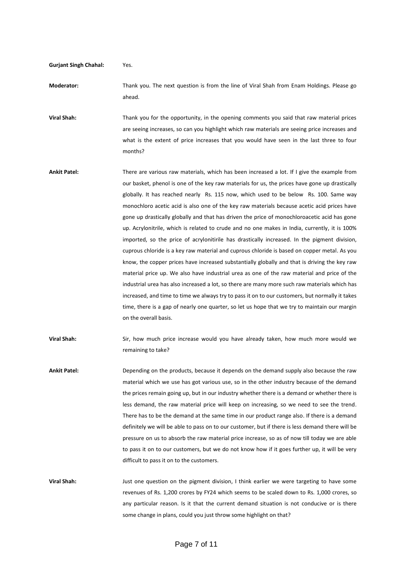**Gurjant Singh Chahal:** Yes.

**Moderator:** Thank you. The next question is from the line of Viral Shah from Enam Holdings. Please go ahead.

**Viral Shah:** Thank you for the opportunity, in the opening comments you said that raw material prices are seeing increases, so can you highlight which raw materials are seeing price increases and what is the extent of price increases that you would have seen in the last three to four months?

- **Ankit Patel:** There are various raw materials, which has been increased a lot. If I give the example from our basket, phenol is one of the key raw materials for us, the prices have gone up drastically globally. It has reached nearly Rs. 115 now, which used to be below Rs. 100. Same way monochloro acetic acid is also one of the key raw materials because acetic acid prices have gone up drastically globally and that has driven the price of monochloroacetic acid has gone up. Acrylonitrile, which is related to crude and no one makes in India, currently, it is 100% imported, so the price of acrylonitirile has drastically increased. In the pigment division, cuprous chloride is a key raw material and cuprous chloride is based on copper metal. As you know, the copper prices have increased substantially globally and that is driving the key raw material price up. We also have industrial urea as one of the raw material and price of the industrial urea has also increased a lot, so there are many more such raw materials which has increased, and time to time we always try to pass it on to our customers, but normally it takes time, there is a gap of nearly one quarter, so let us hope that we try to maintain our margin on the overall basis.
- **Viral Shah:** Sir, how much price increase would you have already taken, how much more would we remaining to take?
- **Ankit Patel:** Depending on the products, because it depends on the demand supply also because the raw material which we use has got various use, so in the other industry because of the demand the prices remain going up, but in our industry whether there is a demand or whether there is less demand, the raw material price will keep on increasing, so we need to see the trend. There has to be the demand at the same time in our product range also. If there is a demand definitely we will be able to pass on to our customer, but if there is less demand there will be pressure on us to absorb the raw material price increase, so as of now till today we are able to pass it on to our customers, but we do not know how if it goes further up, it will be very difficult to pass it on to the customers.

**Viral Shah:** Just one question on the pigment division, I think earlier we were targeting to have some revenues of Rs. 1,200 crores by FY24 which seems to be scaled down to Rs. 1,000 crores, so any particular reason. Is it that the current demand situation is not conducive or is there some change in plans, could you just throw some highlight on that?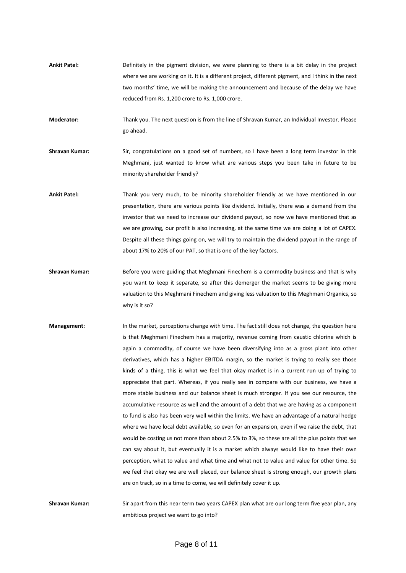**Ankit Patel:** Definitely in the pigment division, we were planning to there is a bit delay in the project where we are working on it. It is a different project, different pigment, and I think in the next two months' time, we will be making the announcement and because of the delay we have reduced from Rs. 1,200 crore to Rs. 1,000 crore.

**Moderator:** Thank you. The next question is from the line of Shravan Kumar, an Individual Investor. Please go ahead.

- **Shravan Kumar:** Sir, congratulations on a good set of numbers, so I have been a long term investor in this Meghmani, just wanted to know what are various steps you been take in future to be minority shareholder friendly?
- **Ankit Patel:** Thank you very much, to be minority shareholder friendly as we have mentioned in our presentation, there are various points like dividend. Initially, there was a demand from the investor that we need to increase our dividend payout, so now we have mentioned that as we are growing, our profit is also increasing, at the same time we are doing a lot of CAPEX. Despite all these things going on, we will try to maintain the dividend payout in the range of about 17% to 20% of our PAT, so that is one of the key factors.
- **Shravan Kumar:** Before you were guiding that Meghmani Finechem is a commodity business and that is why you want to keep it separate, so after this demerger the market seems to be giving more valuation to this Meghmani Finechem and giving less valuation to this Meghmani Organics, so why is it so?
- **Management:** In the market, perceptions change with time. The fact still does not change, the question here is that Meghmani Finechem has a majority, revenue coming from caustic chlorine which is again a commodity, of course we have been diversifying into as a gross plant into other derivatives, which has a higher EBITDA margin, so the market is trying to really see those kinds of a thing, this is what we feel that okay market is in a current run up of trying to appreciate that part. Whereas, if you really see in compare with our business, we have a more stable business and our balance sheet is much stronger. If you see our resource, the accumulative resource as well and the amount of a debt that we are having as a component to fund is also has been very well within the limits. We have an advantage of a natural hedge where we have local debt available, so even for an expansion, even if we raise the debt, that would be costing us not more than about 2.5% to 3%, so these are all the plus points that we can say about it, but eventually it is a market which always would like to have their own perception, what to value and what time and what not to value and value for other time. So we feel that okay we are well placed, our balance sheet is strong enough, our growth plans are on track, so in a time to come, we will definitely cover it up.

**Shravan Kumar:** Sir apart from this near term two years CAPEX plan what are our long term five year plan, any ambitious project we want to go into?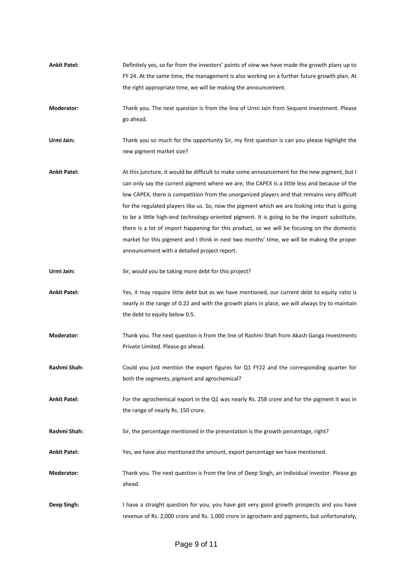**Ankit Patel:** Definitely yes, so far from the investors' points of view we have made the growth plans up to FY 24. At the same time, the management is also working on a further future growth plan. At the right appropriate time, we will be making the announcement. **Moderator:** Thank you. The next question is from the line of Urmi Jain from Sequent Investment. Please go ahead. **Urmi Jain:** Thank you so much for the opportunity Sir, my first question is can you please highlight the new pigment market size? **Ankit Patel:** At this juncture, it would be difficult to make some announcement for the new pigment, but I can only say the current pigment where we are, the CAPEX is a little less and because of the low CAPEX, there is competition from the unorganized players and that remains very difficult for the regulated players like us. So, now the pigment which we are looking into that is going to be a little high-end technology-oriented pigment. It is going to be the import substitute, there is a lot of import happening for this product, so we will be focusing on the domestic market for this pigment and I think in next two months' time, we will be making the proper announcement with a detailed project report. Urmi Jain: Sir, would you be taking more debt for this project? **Ankit Patel:** Yes, it may require little debt but as we have mentioned, our current debt to equity ratio is nearly in the range of 0.22 and with the growth plans in place, we will always try to maintain the debt to equity below 0.5. **Moderator:** Thank you. The next question is from the line of Rashmi Shah from Akash Ganga Investments Private Limited. Please go ahead. **Rashmi Shah:** Could you just mention the export figures for Q1 FY22 and the corresponding quarter for both the segments, pigment and agrochemical? **Ankit Patel:** For the agrochemical export in the Q1 was nearly Rs. 258 crore and for the pigment it was in the range of nearly Rs. 150 crore. Rashmi Shah: Sir, the percentage mentioned in the presentation is the growth percentage, right? **Ankit Patel:** Yes, we have also mentioned the amount, export percentage we have mentioned. **Moderator:** Thank you. The next question is from the line of Deep Singh, an Individual investor. Please go ahead. **Deep Singh:** I have a straight question for you, you have got very good growth prospects and you have revenue of Rs. 2,000 crore and Rs. 1,000 crore in agrochem and pigments, but unfortunately,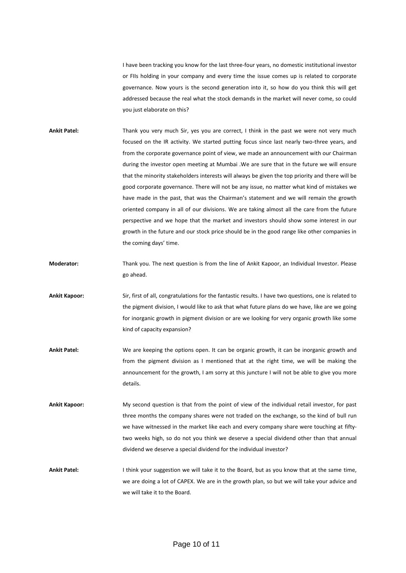I have been tracking you know for the last three-four years, no domestic institutional investor or FIIs holding in your company and every time the issue comes up is related to corporate governance. Now yours is the second generation into it, so how do you think this will get addressed because the real what the stock demands in the market will never come, so could you just elaborate on this?

- **Ankit Patel:** Thank you very much Sir, yes you are correct, I think in the past we were not very much focused on the IR activity. We started putting focus since last nearly two-three years, and from the corporate governance point of view, we made an announcement with our Chairman during the investor open meeting at Mumbai .We are sure that in the future we will ensure that the minority stakeholders interests will always be given the top priority and there will be good corporate governance. There will not be any issue, no matter what kind of mistakes we have made in the past, that was the Chairman's statement and we will remain the growth oriented company in all of our divisions. We are taking almost all the care from the future perspective and we hope that the market and investors should show some interest in our growth in the future and our stock price should be in the good range like other companies in the coming days' time.
- **Moderator:** Thank you. The next question is from the line of Ankit Kapoor, an Individual Investor. Please go ahead.
- **Ankit Kapoor:** Sir, first of all, congratulations for the fantastic results. I have two questions, one is related to the pigment division, I would like to ask that what future plans do we have, like are we going for inorganic growth in pigment division or are we looking for very organic growth like some kind of capacity expansion?
- **Ankit Patel:** We are keeping the options open. It can be organic growth, it can be inorganic growth and from the pigment division as I mentioned that at the right time, we will be making the announcement for the growth, I am sorry at this juncture I will not be able to give you more details.
- **Ankit Kapoor:** My second question is that from the point of view of the individual retail investor, for past three months the company shares were not traded on the exchange, so the kind of bull run we have witnessed in the market like each and every company share were touching at fiftytwo weeks high, so do not you think we deserve a special dividend other than that annual dividend we deserve a special dividend for the individual investor?
- **Ankit Patel:** I think your suggestion we will take it to the Board, but as you know that at the same time, we are doing a lot of CAPEX. We are in the growth plan, so but we will take your advice and we will take it to the Board.